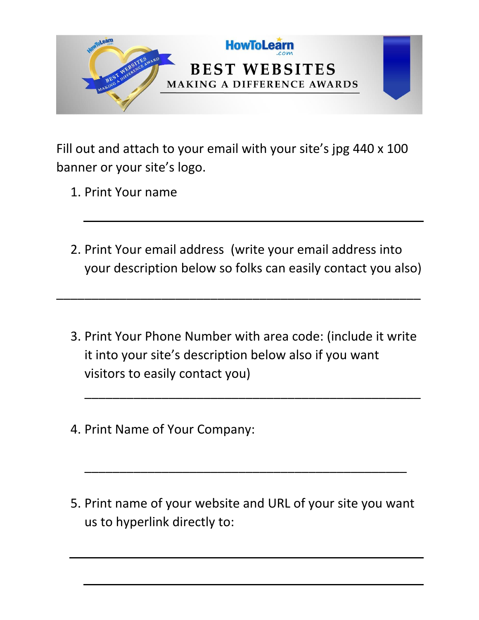

Fill out and attach to your email with your site's jpg 440 x 100 banner or your site's logo.

- 1. Print Your name
- 2. Print Your email address (write your email address into your description below so folks can easily contact you also)

\_\_\_\_\_\_\_\_\_\_\_\_\_\_\_\_\_\_\_\_\_\_\_\_\_\_\_\_\_\_\_\_\_\_\_\_\_\_\_\_\_\_\_\_\_\_\_\_\_\_\_\_

3. Print Your Phone Number with area code: (include it write it into your site's description below also if you want visitors to easily contact you)

\_\_\_\_\_\_\_\_\_\_\_\_\_\_\_\_\_\_\_\_\_\_\_\_\_\_\_\_\_\_\_\_\_\_\_\_\_\_\_\_\_\_\_\_\_\_\_\_

- 4. Print Name of Your Company:
- 5. Print name of your website and URL of your site you want us to hyperlink directly to:

\_\_\_\_\_\_\_\_\_\_\_\_\_\_\_\_\_\_\_\_\_\_\_\_\_\_\_\_\_\_\_\_\_\_\_\_\_\_\_\_\_\_\_\_\_\_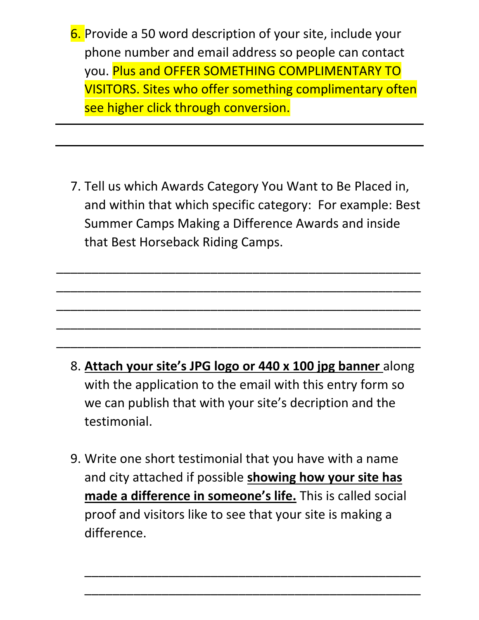- 6. Provide a 50 word description of your site, include your phone number and email address so people can contact you. Plus and OFFER SOMETHING COMPLIMENTARY TO VISITORS. Sites who offer something complimentary often see higher click through conversion.
- 7. Tell us which Awards Category You Want to Be Placed in, and within that which specific category: For example: Best Summer Camps Making a Difference Awards and inside that Best Horseback Riding Camps.

\_\_\_\_\_\_\_\_\_\_\_\_\_\_\_\_\_\_\_\_\_\_\_\_\_\_\_\_\_\_\_\_\_\_\_\_\_\_\_\_\_\_\_\_\_\_\_\_\_\_\_\_

\_\_\_\_\_\_\_\_\_\_\_\_\_\_\_\_\_\_\_\_\_\_\_\_\_\_\_\_\_\_\_\_\_\_\_\_\_\_\_\_\_\_\_\_\_\_\_\_\_\_\_\_

\_\_\_\_\_\_\_\_\_\_\_\_\_\_\_\_\_\_\_\_\_\_\_\_\_\_\_\_\_\_\_\_\_\_\_\_\_\_\_\_\_\_\_\_\_\_\_\_\_\_\_\_

\_\_\_\_\_\_\_\_\_\_\_\_\_\_\_\_\_\_\_\_\_\_\_\_\_\_\_\_\_\_\_\_\_\_\_\_\_\_\_\_\_\_\_\_\_\_\_\_\_\_\_\_

\_\_\_\_\_\_\_\_\_\_\_\_\_\_\_\_\_\_\_\_\_\_\_\_\_\_\_\_\_\_\_\_\_\_\_\_\_\_\_\_\_\_\_\_\_\_\_\_\_\_\_\_

- 8. **Attach your site's JPG logo or 440 x 100 jpg banner** along with the application to the email with this entry form so we can publish that with your site's decription and the testimonial.
- 9. Write one short testimonial that you have with a name and city attached if possible **showing how your site has made a difference in someone's life.** This is called social proof and visitors like to see that your site is making a difference.

\_\_\_\_\_\_\_\_\_\_\_\_\_\_\_\_\_\_\_\_\_\_\_\_\_\_\_\_\_\_\_\_\_\_\_\_\_\_\_\_\_\_\_\_\_\_\_\_

\_\_\_\_\_\_\_\_\_\_\_\_\_\_\_\_\_\_\_\_\_\_\_\_\_\_\_\_\_\_\_\_\_\_\_\_\_\_\_\_\_\_\_\_\_\_\_\_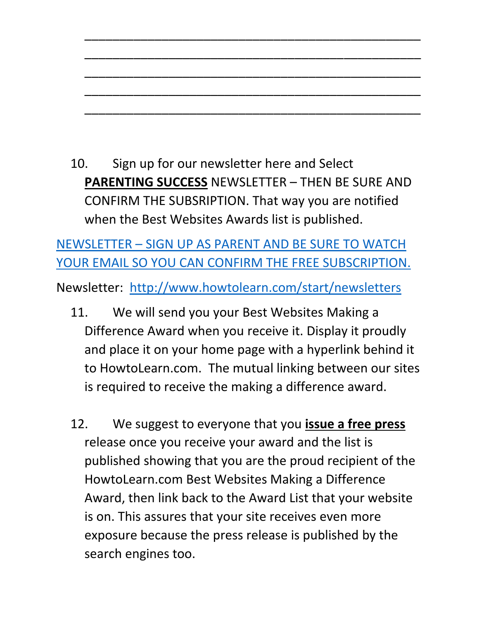10. Sign up for our newsletter here and Select **PARENTING SUCCESS** NEWSLETTER – THEN BE SURE AND CONFIRM THE SUBSRIPTION. That way you are notified when the Best Websites Awards list is published.

\_\_\_\_\_\_\_\_\_\_\_\_\_\_\_\_\_\_\_\_\_\_\_\_\_\_\_\_\_\_\_\_\_\_\_\_\_\_\_\_\_\_\_\_\_\_\_\_

\_\_\_\_\_\_\_\_\_\_\_\_\_\_\_\_\_\_\_\_\_\_\_\_\_\_\_\_\_\_\_\_\_\_\_\_\_\_\_\_\_\_\_\_\_\_\_\_

\_\_\_\_\_\_\_\_\_\_\_\_\_\_\_\_\_\_\_\_\_\_\_\_\_\_\_\_\_\_\_\_\_\_\_\_\_\_\_\_\_\_\_\_\_\_\_\_

\_\_\_\_\_\_\_\_\_\_\_\_\_\_\_\_\_\_\_\_\_\_\_\_\_\_\_\_\_\_\_\_\_\_\_\_\_\_\_\_\_\_\_\_\_\_\_\_

\_\_\_\_\_\_\_\_\_\_\_\_\_\_\_\_\_\_\_\_\_\_\_\_\_\_\_\_\_\_\_\_\_\_\_\_\_\_\_\_\_\_\_\_\_\_\_\_

NEWSLETTER – [SIGN UP AS PARENT AND BE SURE TO WATCH](http://www.howtolearn.com/start/newsletters)  [YOUR EMAIL SO YOU CAN CONFIRM THE FREE SUBSCRIPTION.](http://www.howtolearn.com/start/newsletters)

Newsletter: <http://www.howtolearn.com/start/newsletters>

- 11. We will send you your Best Websites Making a Difference Award when you receive it. Display it proudly and place it on your home page with a hyperlink behind it to HowtoLearn.com. The mutual linking between our sites is required to receive the making a difference award.
- 12. We suggest to everyone that you **issue a free press** release once you receive your award and the list is published showing that you are the proud recipient of the HowtoLearn.com Best Websites Making a Difference Award, then link back to the Award List that your website is on. This assures that your site receives even more exposure because the press release is published by the search engines too.